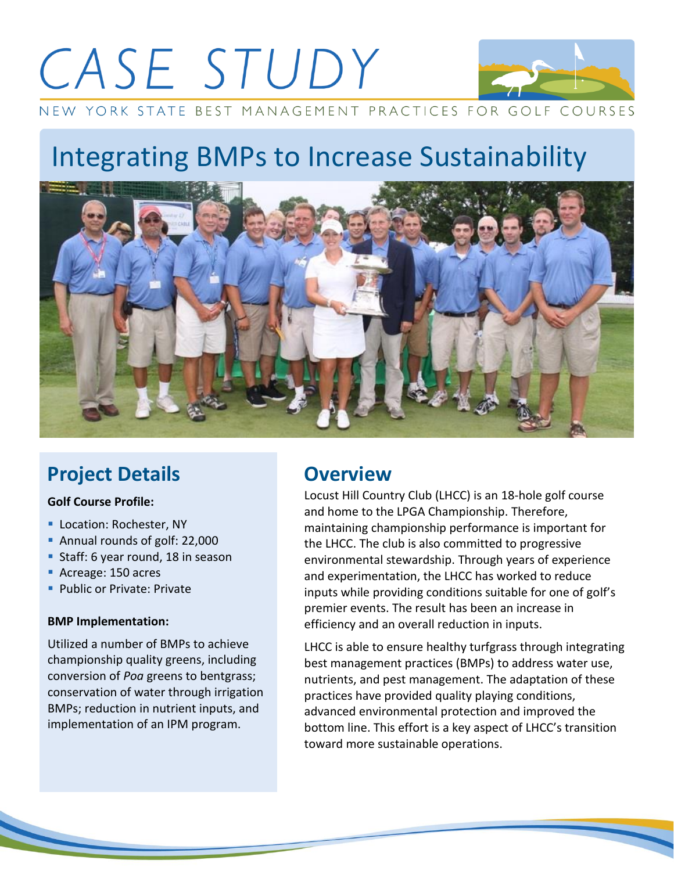# CASE STUDY



NEW YORK STATE BEST MANAGEMENT PRACTICES FOR GOLF COURSES

## Integrating BMPs to Increase Sustainability



## **Project Details**

#### **Golf Course Profile:**

- **Location: Rochester, NY**
- Annual rounds of golf: 22,000
- **Staff: 6 year round, 18 in season**
- Acreage: 150 acres
- **Public or Private: Private**

#### **BMP Implementation:**

Utilized a number of BMPs to achieve championship quality greens, including conversion of *Poa* greens to bentgrass; conservation of water through irrigation BMPs; reduction in nutrient inputs, and implementation of an IPM program.

## **Overview**

Locust Hill Country Club (LHCC) is an 18‐hole golf course and home to the LPGA Championship. Therefore, maintaining championship performance is important for the LHCC. The club is also committed to progressive environmental stewardship. Through years of experience and experimentation, the LHCC has worked to reduce inputs while providing conditions suitable for one of golf's premier events. The result has been an increase in efficiency and an overall reduction in inputs.

LHCC is able to ensure healthy turfgrass through integrating best management practices (BMPs) to address water use, nutrients, and pest management. The adaptation of these practices have provided quality playing conditions, advanced environmental protection and improved the bottom line. This effort is a key aspect of LHCC's transition toward more sustainable operations.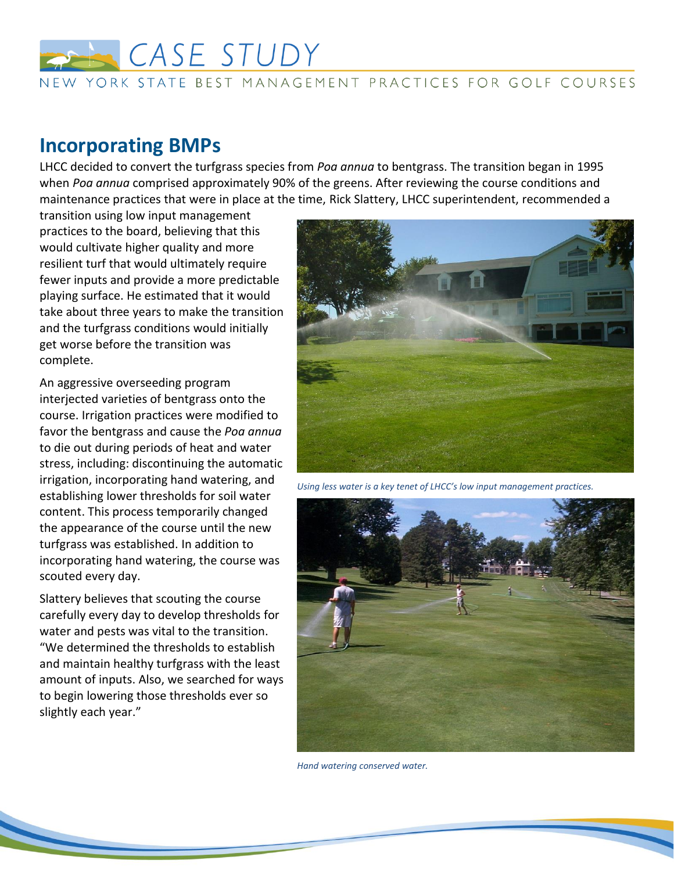

#### NEW YORK STATE BEST MANAGEMENT PRACTICES FOR GOLF COURSES

### **Incorporating BMPs**

LHCC decided to convert the turfgrass species from *Poa annua* to bentgrass. The transition began in 1995 when *Poa annua* comprised approximately 90% of the greens. After reviewing the course conditions and maintenance practices that were in place at the time, Rick Slattery, LHCC superintendent, recommended a

transition using low input management practices to the board, believing that this would cultivate higher quality and more resilient turf that would ultimately require fewer inputs and provide a more predictable playing surface. He estimated that it would take about three years to make the transition and the turfgrass conditions would initially get worse before the transition was complete.

An aggressive overseeding program interjected varieties of bentgrass onto the course. Irrigation practices were modified to favor the bentgrass and cause the *Poa annua* to die out during periods of heat and water stress, including: discontinuing the automatic irrigation, incorporating hand watering, and establishing lower thresholds for soil water content. This process temporarily changed the appearance of the course until the new turfgrass was established. In addition to incorporating hand watering, the course was scouted every day.

Slattery believes that scouting the course carefully every day to develop thresholds for water and pests was vital to the transition. "We determined the thresholds to establish and maintain healthy turfgrass with the least amount of inputs. Also, we searched for ways to begin lowering those thresholds ever so slightly each year."



*Using less water is a key tenet of LHCC's low input management practices.*



*Hand watering conserved water.*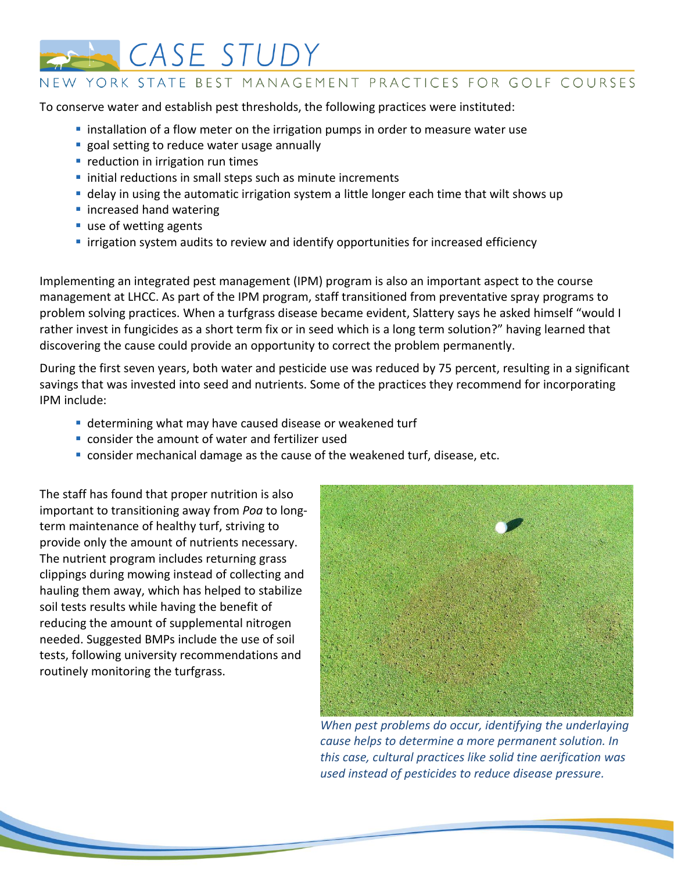

#### NEW YORK STATE BEST MANAGEMENT PRACTICES FOR GOLF COURSES

To conserve water and establish pest thresholds, the following practices were instituted:

- **I** installation of a flow meter on the irrigation pumps in order to measure water use
- **goal setting to reduce water usage annually**
- **P** reduction in irrigation run times
- **Initial reductions in small steps such as minute increments**
- delay in using the automatic irrigation system a little longer each time that wilt shows up
- **n** increased hand watering
- use of wetting agents
- **I** irrigation system audits to review and identify opportunities for increased efficiency

Implementing an integrated pest management (IPM) program is also an important aspect to the course management at LHCC. As part of the IPM program, staff transitioned from preventative spray programs to problem solving practices. When a turfgrass disease became evident, Slattery says he asked himself "would I rather invest in fungicides as a short term fix or in seed which is a long term solution?" having learned that discovering the cause could provide an opportunity to correct the problem permanently.

During the first seven years, both water and pesticide use was reduced by 75 percent, resulting in a significant savings that was invested into seed and nutrients. Some of the practices they recommend for incorporating IPM include:

- determining what may have caused disease or weakened turf
- consider the amount of water and fertilizer used
- consider mechanical damage as the cause of the weakened turf, disease, etc.

The staff has found that proper nutrition is also important to transitioning away from *Poa* to long‐ term maintenance of healthy turf, striving to provide only the amount of nutrients necessary. The nutrient program includes returning grass clippings during mowing instead of collecting and hauling them away, which has helped to stabilize soil tests results while having the benefit of reducing the amount of supplemental nitrogen needed. Suggested BMPs include the use of soil tests, following university recommendations and routinely monitoring the turfgrass.



*When pest problems do occur, identifying the underlaying cause helps to determine a more permanent solution. In this case, cultural practices like solid tine aerification was used instead of pesticides to reduce disease pressure.*